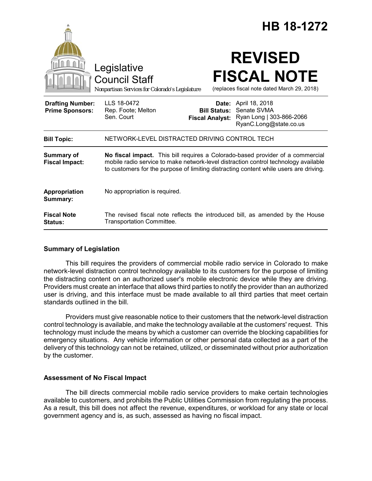|                                                   |                                                                                                                                                                                                                                                                |                                               | HB 18-1272                                                                                       |
|---------------------------------------------------|----------------------------------------------------------------------------------------------------------------------------------------------------------------------------------------------------------------------------------------------------------------|-----------------------------------------------|--------------------------------------------------------------------------------------------------|
|                                                   | Legislative<br><b>Council Staff</b><br>Nonpartisan Services for Colorado's Legislature                                                                                                                                                                         |                                               | <b>REVISED</b><br><b>FISCAL NOTE</b><br>(replaces fiscal note dated March 29, 2018)              |
| <b>Drafting Number:</b><br><b>Prime Sponsors:</b> | LLS 18-0472<br>Rep. Foote; Melton<br>Sen. Court                                                                                                                                                                                                                | <b>Bill Status:</b><br><b>Fiscal Analyst:</b> | <b>Date:</b> April 18, 2018<br>Senate SVMA<br>Ryan Long   303-866-2066<br>RyanC.Long@state.co.us |
| <b>Bill Topic:</b>                                | NETWORK-LEVEL DISTRACTED DRIVING CONTROL TECH                                                                                                                                                                                                                  |                                               |                                                                                                  |
| <b>Summary of</b><br><b>Fiscal Impact:</b>        | No fiscal impact. This bill requires a Colorado-based provider of a commercial<br>mobile radio service to make network-level distraction control technology available<br>to customers for the purpose of limiting distracting content while users are driving. |                                               |                                                                                                  |
| Appropriation<br>Summary:                         | No appropriation is required.                                                                                                                                                                                                                                  |                                               |                                                                                                  |
| <b>Fiscal Note</b><br>Status:                     | <b>Transportation Committee.</b>                                                                                                                                                                                                                               |                                               | The revised fiscal note reflects the introduced bill, as amended by the House                    |

## **Summary of Legislation**

This bill requires the providers of commercial mobile radio service in Colorado to make network-level distraction control technology available to its customers for the purpose of limiting the distracting content on an authorized user's mobile electronic device while they are driving. Providers must create an interface that allows third parties to notify the provider than an authorized user is driving, and this interface must be made available to all third parties that meet certain standards outlined in the bill.

Providers must give reasonable notice to their customers that the network-level distraction control technology is available, and make the technology available at the customers' request. This technology must include the means by which a customer can override the blocking capabilities for emergency situations. Any vehicle information or other personal data collected as a part of the delivery of this technology can not be retained, utilized, or disseminated without prior authorization by the customer.

## **Assessment of No Fiscal Impact**

The bill directs commercial mobile radio service providers to make certain technologies available to customers, and prohibits the Public Utilities Commission from regulating the process. As a result, this bill does not affect the revenue, expenditures, or workload for any state or local government agency and is, as such, assessed as having no fiscal impact.